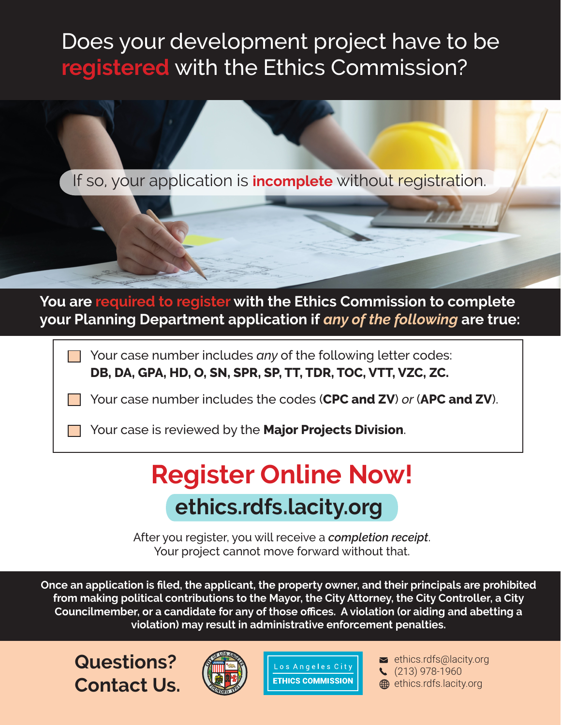## Does your development project have to be **registered** with the Ethics Commission?

If so, your application is **incomplete** without registration.

**You are required to register with the Ethics Commission to complete your Planning Department application if** *any of the following* **are true:**

> Your case number includes *any* of the following letter codes: **DB, DA, GPA, HD, O, SN, SPR, SP, TT, TDR, TOC, VTT, VZC, ZC.**

Your case number includes the codes (**CPC and ZV**) *or* (**APC and ZV**).

Your case is reviewed by the **Major Projects Division**.

# **Register Online Now! ethics.rdfs.lacity.org**

After you register, you will receive a *completion receipt*. Your project cannot move forward without that.

**Once an application is filed, the applicant, the property owner, and their principals are prohibited from making political contributions to the Mayor, the City Attorney, the City Controller, a City Councilmember, or a candidate for any of those offices. A violation (or aiding and abetting a violation) may result in administrative enforcement penalties.**

**Questions? Contact Us.**





 $\blacktriangleright$  ethics.rdfs@lacity.org (213) 978-1960 **ethics.rdfs.lacity.org**